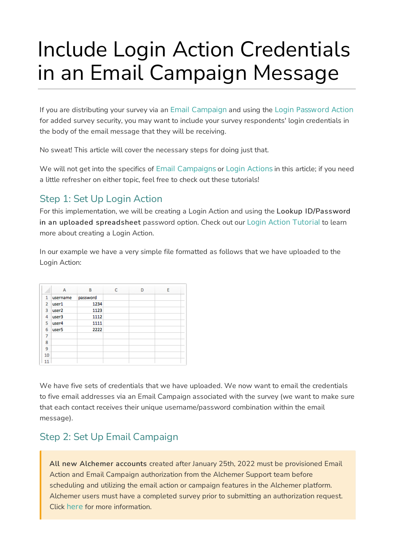# Include Login Action Credentials in an Email Campaign Message

If you are distributing your survey via an Email Campaign and using the Login Password Action for added survey security, you may want to include your survey respondents' login credentials in the body of the email message that they will be receiving.

No sweat! This article will cover the necessary steps for doing just that.

We will not get into the specifics of Email Campaigns or Login Actions in this article; if you need a little refresher on either topic, feel free to check out these tutorials!

### Step 1: Set Up Login Action

For this implementation, we will be creating a Login Action and using the Lookup ID/Password in an uploaded spreadsheet password option. Check out our Login Action Tutorial to learn more about creating a Login Action.

In our example we have a very simple file formatted as follows that we have uploaded to the Login Action:

|                | A                 | B        | C | D | E |
|----------------|-------------------|----------|---|---|---|
| 1              | username          | password |   |   |   |
| $\overline{2}$ | user1             | 1234     |   |   |   |
| 3              | user <sub>2</sub> | 1123     |   |   |   |
| 4              | user3             | 1112     |   |   |   |
| 5              | user4             | 1111     |   |   |   |
| 6              | user <sub>5</sub> | 2222     |   |   |   |
| 7              |                   |          |   |   |   |
| 8              |                   |          |   |   |   |
| 9              |                   |          |   |   |   |
| 10             |                   |          |   |   |   |
|                |                   |          |   |   |   |

We have five sets of credentials that we have uploaded. We now want to email the credentials to five email addresses via an Email Campaign associated with the survey (we want to make sure that each contact receives their unique username/password combination within the email message).

# Step 2: Set Up Email Campaign

All new Alchemer accounts created after January 25th, 2022 must be provisioned Email Action and Email Campaign authorization from the Alchemer Support team before scheduling and utilizing the email action or campaign features in the Alchemer platform. Alchemer users must have a completed survey prior to submitting an authorization request. Click here for more information.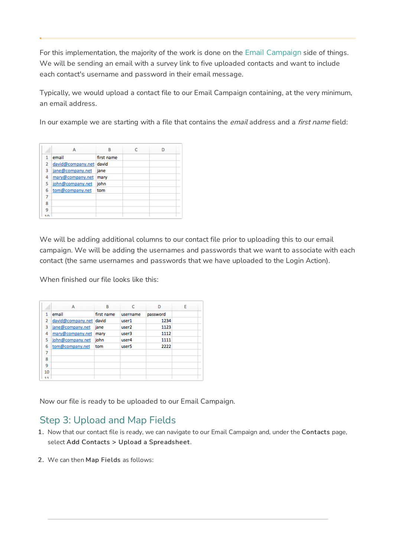For this implementation, the majority of the work is done on the Email Campaign side of things. We will be sending an email with a survey link to five uploaded contacts and want to include each contact's username and password in their email message.

Typically, we would upload a contact file to our Email Campaign containing, at the very minimum, an email address.

In our example we are starting with a file that contains the *email* address and a *first name* field:

|   | А                       | R          |  |
|---|-------------------------|------------|--|
|   | email                   | first name |  |
| 2 | david@company.net david |            |  |
| 3 | jane@company.net        | jane       |  |
| 4 | mary@company.net        | mary       |  |
| 5 | john@company.net        | john       |  |
| 6 | tom@company.net         | tom        |  |
|   |                         |            |  |
| R |                         |            |  |
| ۹ |                         |            |  |
|   |                         |            |  |

We will be adding additional columns to our contact file prior to uploading this to our email campaign. We will be adding the usernames and passwords that we want to associate with each contact (the same usernames and passwords that we have uploaded to the Login Action).

When finished our file looks like this:

|    | A                 | B          |                   | n        | E |
|----|-------------------|------------|-------------------|----------|---|
|    | email             | first name | username          | password |   |
| 2  | david@company.net | david      | user1             | 1234     |   |
| 3  | jane@company.net  | jane       | user <sub>2</sub> | 1123     |   |
| 4  | mary@company.net  | mary       | user3             | 1112     |   |
| 5  | john@company.net  | john       | user4             | 1111     |   |
| 6  | tom@company.net   | tom        | user <sub>5</sub> | 2222     |   |
| 7  |                   |            |                   |          |   |
| R  |                   |            |                   |          |   |
| 9  |                   |            |                   |          |   |
| 10 |                   |            |                   |          |   |
|    |                   |            |                   |          |   |

Now our file is ready to be uploaded to our Email Campaign.

## Step 3: Upload and Map Fields

- 1. Now that our contact file is ready, we can navigate to our Email Campaign and, under the Contacts page, select Add Contacts > Upload a Spreadsheet.
- 2. We can then Map Fields as follows: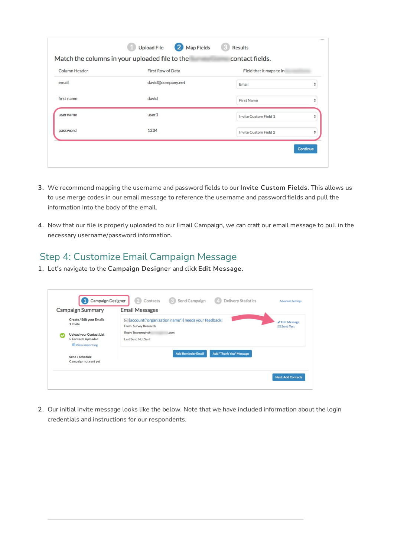| Column Header | First Row of Data | Field that it maps to in |   |
|---------------|-------------------|--------------------------|---|
| email         | david@company.net | Email                    | ÷ |
| first name    | david             | <b>First Name</b>        | ÷ |
| username      | user1             | Invite Custom Field 1    | ÷ |
| password      | 1234              | Invite Custom Field 2    | ♦ |

- 3. We recommend mapping the username and password fields to our Invite Custom Fields. This allows us to use merge codes in our email message to reference the username and password fields and pull the information into the body of the email.
- 4. Now that our file is properly uploaded to our Email Campaign, we can craft our email message to pull in the necessary username/password information.

## Step 4: Customize Email Campaign Message

1. Let's navigate to the Campaign Designer and click Edit Message.

| <b>Campaign Summary</b>                                                             | <b>Email Messages</b>                                                                  |                                     |
|-------------------------------------------------------------------------------------|----------------------------------------------------------------------------------------|-------------------------------------|
| Create / Edit your Emails<br>1 Invite                                               | $\boxdot$ [account("organization name")] needs your feedback!<br>From: Survey Research | ✔ Edit Message<br><b>⊠Send Test</b> |
| <b>Upload your Contact List</b><br>5 Contacts Uploaded<br><b>ED</b> View import log | Reply To: noreply@<br>.com<br>Last Sent: Not Sent                                      |                                     |
| Send / Schedule<br>Campaign not sent yet                                            | <b>Add Reminder Email</b><br>Add "Thank You" Message                                   |                                     |

2. Our initial invite message looks like the below. Note that we have included information about the login credentials and instructions for our respondents.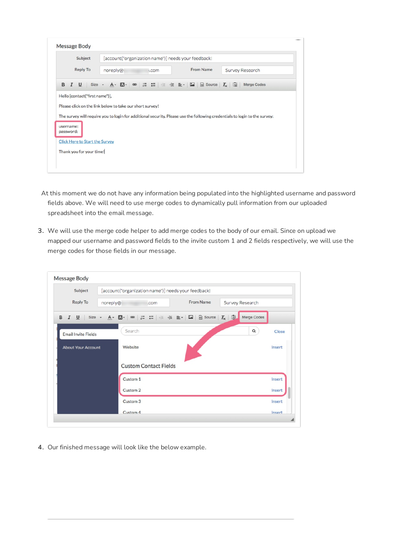| Subject |                        |                                | [account("organization name")] needs your feedback!                                                                                                                                    |  |  |       |  |  |  |           |  |                 |  |
|---------|------------------------|--------------------------------|----------------------------------------------------------------------------------------------------------------------------------------------------------------------------------------|--|--|-------|--|--|--|-----------|--|-----------------|--|
|         | <b>Reply To</b>        |                                | noreply@:                                                                                                                                                                              |  |  | I.COM |  |  |  | From Name |  | Survey Research |  |
| B       |                        |                                | $I \cup Size \cdot A \cdot A \cdot \dots \cdot = \pm \pm \pm \dots$                                                                                                                    |  |  |       |  |  |  |           |  | Merge Codes     |  |
|         |                        | Hello [contact("first name")], |                                                                                                                                                                                        |  |  |       |  |  |  |           |  |                 |  |
|         |                        |                                | Please click on the link below to take our short survey!<br>The survey will require you to login for additional security. Please use the following credentials to login to the survey: |  |  |       |  |  |  |           |  |                 |  |
|         | username:<br>password: |                                |                                                                                                                                                                                        |  |  |       |  |  |  |           |  |                 |  |
|         |                        |                                | <b>Click Here to Start the Survey</b>                                                                                                                                                  |  |  |       |  |  |  |           |  |                 |  |

- At this moment we do not have any information being populated into the highlighted username and password fields above. We will need to use merge codes to dynamically pull information from our uploaded spreadsheet into the email message.
- 3. We will use the merge code helper to add merge codes to the body of our email. Since on upload we mapped our username and password fields to the invite custom 1 and 2 fields respectively, we will use the merge codes for those fields in our message.

| Subject                    | [account("organization name")] needs your feedback! |           |                 |        |
|----------------------------|-----------------------------------------------------|-----------|-----------------|--------|
| <b>Reply To</b>            | noreply@<br>.com                                    | From Name | Survey Research |        |
| B                          |                                                     |           | Merge Codes     |        |
| <b>Email Invite Fields</b> | Search                                              |           | $\alpha$        | Close  |
| <b>About Your Account</b>  | Website                                             |           |                 | Insert |
|                            | <b>Custom Contact Fields</b>                        |           |                 |        |
|                            | Custom 1                                            |           |                 | Insert |
|                            | Custom <sub>2</sub>                                 |           |                 | Insert |
|                            | Custom <sub>3</sub>                                 |           |                 | Insert |
|                            | Custom <sub>4</sub>                                 |           |                 | Insert |

4. Our finished message will look like the below example.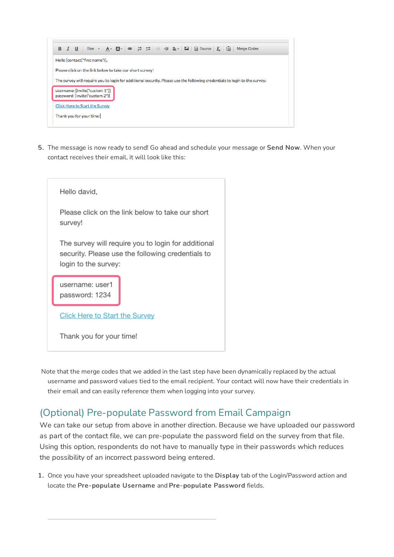

5. The message is now ready to send! Go ahead and schedule your message or Send Now. When your contact receives their email, it will look like this:



Note that the merge codes that we added in the last step have been dynamically replaced by the actual username and password values tied to the email recipient. Your contact will now have their credentials in their email and can easily reference them when logging into your survey.

# (Optional) Pre-populate Password from Email Campaign

We can take our setup from above in another direction. Because we have uploaded our password as part of the contact file, we can pre-populate the password field on the survey from that file. Using this option, respondents do not have to manually type in their passwords which reduces the possibility of an incorrect password being entered.

1. Once you have your spreadsheet uploaded navigate to the Display tab of the Login/Password action and locate the Pre-populate Username and Pre-populate Password fields.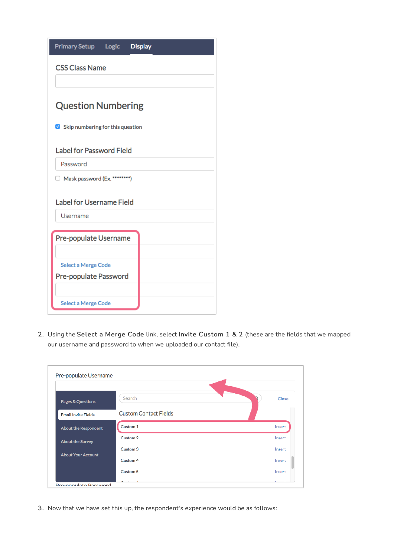| <b>Primary Setup Logic</b>                  |  | <b>Display</b> |  |  |  |  |
|---------------------------------------------|--|----------------|--|--|--|--|
| <b>CSS Class Name</b>                       |  |                |  |  |  |  |
| <b>Question Numbering</b>                   |  |                |  |  |  |  |
| Skip numbering for this question            |  |                |  |  |  |  |
| <b>Label for Password Field</b>             |  |                |  |  |  |  |
| Password                                    |  |                |  |  |  |  |
| Mask password (Ex. ********)                |  |                |  |  |  |  |
| <b>Label for Username Field</b><br>Username |  |                |  |  |  |  |
|                                             |  |                |  |  |  |  |
| Pre-populate Username                       |  |                |  |  |  |  |
| Select a Merge Code                         |  |                |  |  |  |  |
| Pre-populate Password                       |  |                |  |  |  |  |
|                                             |  |                |  |  |  |  |
| Select a Merge Code                         |  |                |  |  |  |  |

2. Using the Select a Merge Code link, select Invite Custom 1 & 2 (these are the fields that we mapped our username and password to when we uploaded our contact file).

| Pages & Questions           | Search                       | Close  |
|-----------------------------|------------------------------|--------|
| <b>Email Invite Fields</b>  | <b>Custom Contact Fields</b> |        |
| <b>About the Respondent</b> | Custom <sub>1</sub>          | Insert |
| <b>About the Survey</b>     | Custom <sub>2</sub>          | Insert |
| <b>About Your Account</b>   | Custom <sub>3</sub>          | Insert |
|                             | Custom 4                     | Insert |
|                             | Custom <sub>5</sub>          | Insert |

3. Now that we have set this up, the respondent's experience would be as follows: